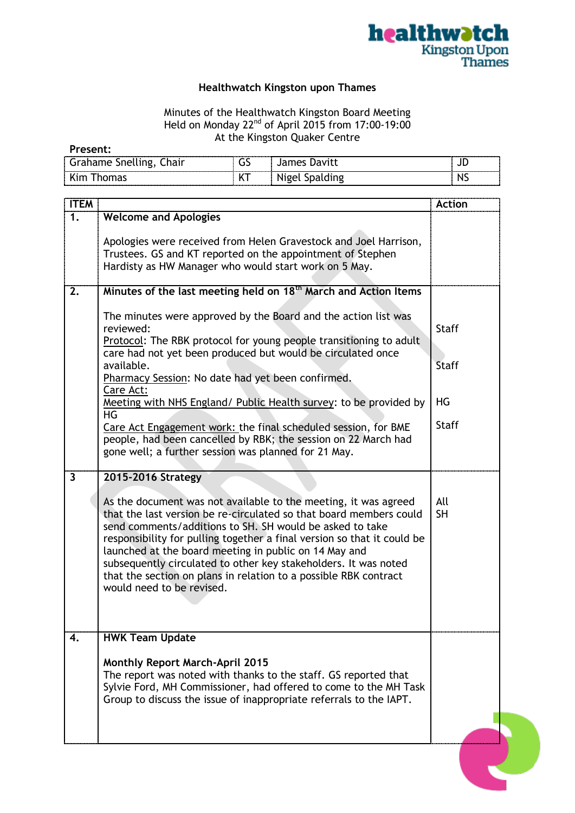

## **Healthwatch Kingston upon Thames**

## Minutes of the Healthwatch Kingston Board Meeting Held on Monday 22<sup>nd</sup> of April 2015 from 17:00-19:00 At the Kingston Quaker Centre

| Present: |
|----------|
|----------|

| hair<br><b>Snelling</b><br>٦me | --<br>. . | mes | <br>◡   |
|--------------------------------|-----------|-----|---------|
|                                |           |     | <br>. . |

| <b>ITEM</b> |                                                                                                                                                                                                                                                                                                                                                                                                                                                                                                           | <b>Action</b>                |
|-------------|-----------------------------------------------------------------------------------------------------------------------------------------------------------------------------------------------------------------------------------------------------------------------------------------------------------------------------------------------------------------------------------------------------------------------------------------------------------------------------------------------------------|------------------------------|
| 1.          | <b>Welcome and Apologies</b>                                                                                                                                                                                                                                                                                                                                                                                                                                                                              |                              |
|             | Apologies were received from Helen Gravestock and Joel Harrison,<br>Trustees. GS and KT reported on the appointment of Stephen<br>Hardisty as HW Manager who would start work on 5 May.                                                                                                                                                                                                                                                                                                                   |                              |
| 2.          | Minutes of the last meeting held on 18 <sup>th</sup> March and Action Items                                                                                                                                                                                                                                                                                                                                                                                                                               |                              |
|             | The minutes were approved by the Board and the action list was<br>reviewed:<br>Protocol: The RBK protocol for young people transitioning to adult<br>care had not yet been produced but would be circulated once<br>available.<br>Pharmacy Session: No date had yet been confirmed.                                                                                                                                                                                                                       | <b>Staff</b><br><b>Staff</b> |
|             | Care Act:<br>Meeting with NHS England/ Public Health survey: to be provided by                                                                                                                                                                                                                                                                                                                                                                                                                            | HG                           |
|             | HG<br>Care Act Engagement work: the final scheduled session, for BME<br>people, had been cancelled by RBK; the session on 22 March had<br>gone well; a further session was planned for 21 May.                                                                                                                                                                                                                                                                                                            | <b>Staff</b>                 |
| 3           | 2015-2016 Strategy                                                                                                                                                                                                                                                                                                                                                                                                                                                                                        |                              |
|             | As the document was not available to the meeting, it was agreed<br>that the last version be re-circulated so that board members could<br>send comments/additions to SH. SH would be asked to take<br>responsibility for pulling together a final version so that it could be<br>launched at the board meeting in public on 14 May and<br>subsequently circulated to other key stakeholders. It was noted<br>that the section on plans in relation to a possible RBK contract<br>would need to be revised. | All<br><b>SH</b>             |
| 4.          | <b>HWK Team Update</b><br><b>Monthly Report March-April 2015</b>                                                                                                                                                                                                                                                                                                                                                                                                                                          |                              |
|             | The report was noted with thanks to the staff. GS reported that<br>Sylvie Ford, MH Commissioner, had offered to come to the MH Task<br>Group to discuss the issue of inappropriate referrals to the IAPT.                                                                                                                                                                                                                                                                                                 |                              |
|             |                                                                                                                                                                                                                                                                                                                                                                                                                                                                                                           |                              |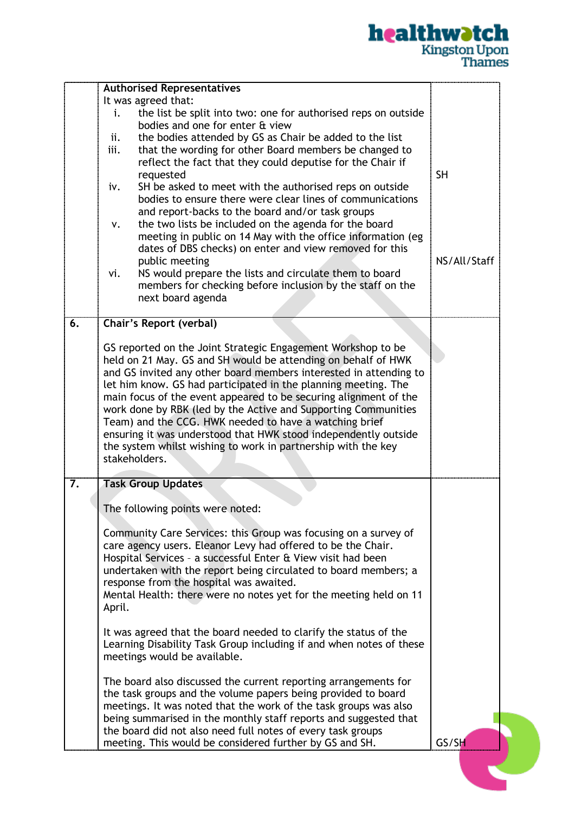

|    | <b>Authorised Representatives</b>                                       |              |
|----|-------------------------------------------------------------------------|--------------|
|    | It was agreed that:                                                     |              |
|    | the list be split into two: one for authorised reps on outside<br>i.    |              |
|    | bodies and one for enter & view                                         |              |
|    | the bodies attended by GS as Chair be added to the list<br>ii.          |              |
|    | iii.<br>that the wording for other Board members be changed to          |              |
|    | reflect the fact that they could deputise for the Chair if<br>requested | <b>SH</b>    |
|    | SH be asked to meet with the authorised reps on outside<br>iv.          |              |
|    | bodies to ensure there were clear lines of communications               |              |
|    | and report-backs to the board and/or task groups                        |              |
|    | the two lists be included on the agenda for the board<br>٧.             |              |
|    | meeting in public on 14 May with the office information (eg             |              |
|    | dates of DBS checks) on enter and view removed for this                 |              |
|    | public meeting                                                          | NS/All/Staff |
|    | NS would prepare the lists and circulate them to board<br>vi.           |              |
|    | members for checking before inclusion by the staff on the               |              |
|    | next board agenda                                                       |              |
|    |                                                                         |              |
| 6. | <b>Chair's Report (verbal)</b>                                          |              |
|    | GS reported on the Joint Strategic Engagement Workshop to be            |              |
|    | held on 21 May. GS and SH would be attending on behalf of HWK           |              |
|    | and GS invited any other board members interested in attending to       |              |
|    | let him know. GS had participated in the planning meeting. The          |              |
|    | main focus of the event appeared to be securing alignment of the        |              |
|    | work done by RBK (led by the Active and Supporting Communities          |              |
|    | Team) and the CCG. HWK needed to have a watching brief                  |              |
|    | ensuring it was understood that HWK stood independently outside         |              |
|    | the system whilst wishing to work in partnership with the key           |              |
|    | stakeholders.                                                           |              |
| 7. | <b>Task Group Updates</b>                                               |              |
|    |                                                                         |              |
|    | The following points were noted:                                        |              |
|    | Community Care Services: this Group was focusing on a survey of         |              |
|    | care agency users. Eleanor Levy had offered to be the Chair.            |              |
|    | Hospital Services - a successful Enter & View visit had been            |              |
|    | undertaken with the report being circulated to board members; a         |              |
|    | response from the hospital was awaited.                                 |              |
|    | Mental Health: there were no notes yet for the meeting held on 11       |              |
|    | April.                                                                  |              |
|    | It was agreed that the board needed to clarify the status of the        |              |
|    | Learning Disability Task Group including if and when notes of these     |              |
|    | meetings would be available.                                            |              |
|    |                                                                         |              |
|    | The board also discussed the current reporting arrangements for         |              |
|    | the task groups and the volume papers being provided to board           |              |
|    | meetings. It was noted that the work of the task groups was also        |              |
|    | being summarised in the monthly staff reports and suggested that        |              |
|    | the board did not also need full notes of every task groups             |              |
|    | meeting. This would be considered further by GS and SH.                 | GS/SH        |